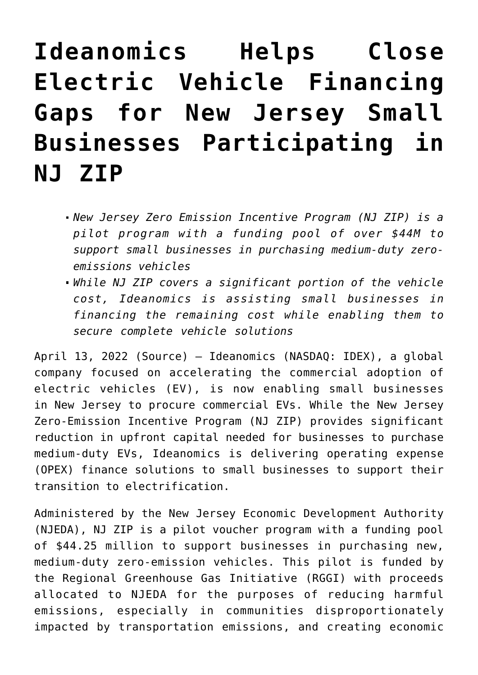## **[Ideanomics Helps Close](https://investorintel.com/markets/cleantech/cleantech-news/ideanomics-helps-close-electric-vehicle-financing-gaps-for-new-jersey-small-businesses-participating-in-nj-zip/) [Electric Vehicle Financing](https://investorintel.com/markets/cleantech/cleantech-news/ideanomics-helps-close-electric-vehicle-financing-gaps-for-new-jersey-small-businesses-participating-in-nj-zip/) [Gaps for New Jersey Small](https://investorintel.com/markets/cleantech/cleantech-news/ideanomics-helps-close-electric-vehicle-financing-gaps-for-new-jersey-small-businesses-participating-in-nj-zip/) [Businesses Participating in](https://investorintel.com/markets/cleantech/cleantech-news/ideanomics-helps-close-electric-vehicle-financing-gaps-for-new-jersey-small-businesses-participating-in-nj-zip/) [NJ ZIP](https://investorintel.com/markets/cleantech/cleantech-news/ideanomics-helps-close-electric-vehicle-financing-gaps-for-new-jersey-small-businesses-participating-in-nj-zip/)**

- *New Jersey Zero Emission Incentive Program (NJ ZIP) is a pilot program with a funding pool of over \$44M to support small businesses in purchasing medium-duty zeroemissions vehicles*
- *While NJ ZIP covers a significant portion of the vehicle cost, Ideanomics is assisting small businesses in financing the remaining cost while enabling them to secure complete vehicle solutions*

April 13, 2022 ([Source](https://www.prnewswire.com/news-releases/ideanomics-helps-close-electric-vehicle-financing-gaps-for-new-jersey-small-businesses-participating-in-nj-zip-301524428.html)) – [Ideanomics](https://c212.net/c/link/?t=0&l=en&o=3503871-1&h=4074077623&u=https%3A%2F%2Fideanomics.com%2F&a=Ideanomics) (NASDAQ: [IDEX\)](https://www.prnewswire.com/news-releases/ideanomics-helps-close-electric-vehicle-financing-gaps-for-new-jersey-small-businesses-participating-in-nj-zip-301524428.html#financial-modal), a global company focused on accelerating the commercial adoption of electric vehicles (EV), is now enabling small businesses in New Jersey to procure commercial EVs. While the New Jersey Zero-Emission Incentive Program (NJ ZIP) provides significant reduction in upfront capital needed for businesses to purchase medium-duty EVs, Ideanomics is delivering operating expense (OPEX) finance solutions to small businesses to support their transition to electrification.

Administered by the New Jersey Economic Development Authority (NJEDA), NJ ZIP is a pilot voucher program with a funding pool of \$44.25 million to support businesses in purchasing new, medium-duty zero-emission vehicles. This pilot is funded by the Regional Greenhouse Gas Initiative (RGGI) with proceeds allocated to NJEDA for the purposes of reducing harmful emissions, especially in communities disproportionately impacted by transportation emissions, and creating economic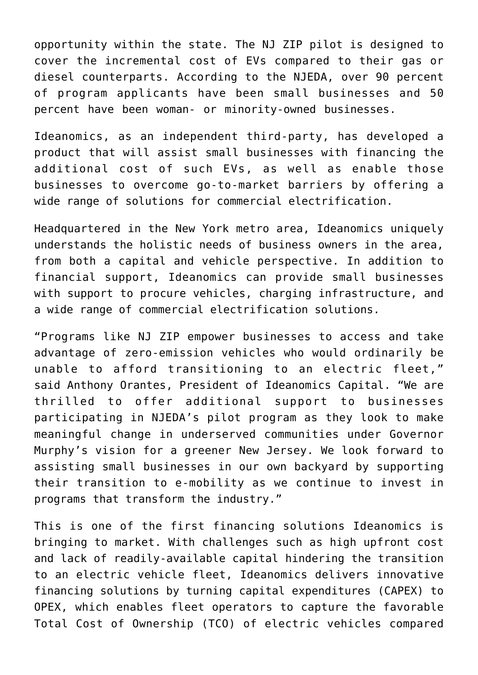opportunity within the state. The NJ ZIP pilot is designed to cover the incremental cost of EVs compared to their gas or diesel counterparts. According to the NJEDA, over 90 percent of program applicants have been small businesses and 50 percent have been woman- or minority-owned businesses.

Ideanomics, as an independent third-party, has developed a product that will assist small businesses with financing the additional cost of such EVs, as well as enable those businesses to overcome go-to-market barriers by offering a wide range of solutions for commercial electrification.

Headquartered in the New York metro area, Ideanomics uniquely understands the holistic needs of business owners in the area, from both a capital and vehicle perspective. In addition to financial support, Ideanomics can provide small businesses with support to procure vehicles, charging infrastructure, and a wide range of commercial electrification solutions.

"Programs like NJ ZIP empower businesses to access and take advantage of zero-emission vehicles who would ordinarily be unable to afford transitioning to an electric fleet," said Anthony Orantes, President of Ideanomics Capital. "We are thrilled to offer additional support to businesses participating in NJEDA's pilot program as they look to make meaningful change in underserved communities under Governor Murphy's vision for a greener New Jersey. We look forward to assisting small businesses in our own backyard by supporting their transition to e-mobility as we continue to invest in programs that transform the industry."

This is one of the first financing solutions Ideanomics is bringing to market. With challenges such as high upfront cost and lack of readily-available capital hindering the transition to an electric vehicle fleet, Ideanomics delivers innovative financing solutions by turning capital expenditures (CAPEX) to OPEX, which enables fleet operators to capture the favorable Total Cost of Ownership (TCO) of electric vehicles compared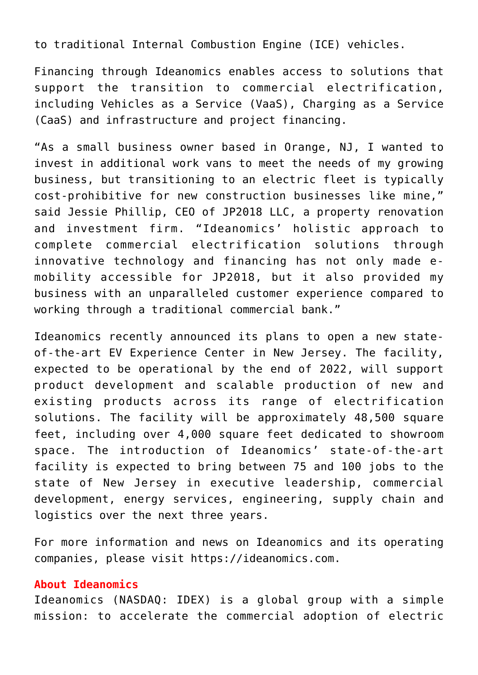to traditional Internal Combustion Engine (ICE) vehicles.

Financing through Ideanomics enables access to solutions that support the transition to commercial electrification, including Vehicles as a Service (VaaS), Charging as a Service (CaaS) and infrastructure and project financing.

"As a small business owner based in Orange, NJ, I wanted to invest in additional work vans to meet the needs of my growing business, but transitioning to an electric fleet is typically cost-prohibitive for new construction businesses like mine," said Jessie Phillip, CEO of JP2018 LLC, a property renovation and investment firm. "Ideanomics' holistic approach to complete commercial electrification solutions through innovative technology and financing has not only made emobility accessible for JP2018, but it also provided my business with an unparalleled customer experience compared to working through a traditional commercial bank."

Ideanomics recently announced its plans to open [a new state](https://c212.net/c/link/?t=0&l=en&o=3503871-1&h=2966803211&u=https%3A%2F%2Finvestors.ideanomics.com%2F2022-04-07-Ideanomics-Announces-State-of-the-Art-EV-Experience-Center-and-U-S-Manufacturing-Facility-in-New-Jersey-to-Accelerate-Commercial-Electrification&a=a+new+state-of-the-art+EV+Experience+Center+in+New+Jersey)[of-the-art EV Experience Center in New Jersey](https://c212.net/c/link/?t=0&l=en&o=3503871-1&h=2966803211&u=https%3A%2F%2Finvestors.ideanomics.com%2F2022-04-07-Ideanomics-Announces-State-of-the-Art-EV-Experience-Center-and-U-S-Manufacturing-Facility-in-New-Jersey-to-Accelerate-Commercial-Electrification&a=a+new+state-of-the-art+EV+Experience+Center+in+New+Jersey). The facility, expected to be operational by the end of 2022, will support product development and scalable production of new and existing products across its range of electrification solutions. The facility will be approximately 48,500 square feet, including over 4,000 square feet dedicated to showroom space. The introduction of Ideanomics' state-of-the-art facility is expected to bring between 75 and 100 jobs to the state of New Jersey in executive leadership, commercial development, energy services, engineering, supply chain and logistics over the next three years.

For more information and news on Ideanomics and its operating companies, please visit [https://ideanomics.com](https://c212.net/c/link/?t=0&l=en&o=3503871-1&h=704742089&u=https%3A%2F%2Fideanomics.com%2F&a=https%3A%2F%2Fideanomics.com).

## **About Ideanomics**

Ideanomics (NASDAQ: [IDEX\)](https://www.prnewswire.com/news-releases/ideanomics-helps-close-electric-vehicle-financing-gaps-for-new-jersey-small-businesses-participating-in-nj-zip-301524428.html#financial-modal) is a global group with a simple mission: to accelerate the commercial adoption of electric